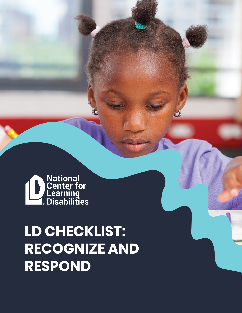

## **LD CHECKLIST: RECOGNIZE AND RESPOND**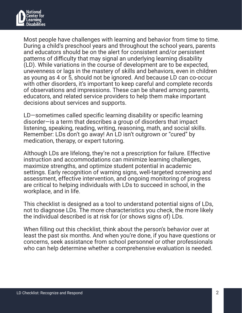

Most people have challenges with learning and behavior from time to time. During a child's preschool years and throughout the school years, parents and educators should be on the alert for consistent and/or persistent patterns of difficulty that may signal an underlying learning disability (LD). While variations in the course of development are to be expected, unevenness or lags in the mastery of skills and behaviors, even in children as young as 4 or 5, should not be ignored. And because LD can co-occur with other disorders, it's important to keep careful and complete records of observations and impressions. These can be shared among parents, educators, and related service providers to help them make important decisions about services and supports.

LD—sometimes called specific learning disability or specific learning disorder—is a term that describes a group of disorders that impact listening, speaking, reading, writing, reasoning, math, and social skills. Remember: LDs don't go away! An LD isn't outgrown or "cured" by medication, therapy, or expert tutoring.

Although LDs are lifelong, they're not a prescription for failure. Effective instruction and accommodations can minimize learning challenges, maximize strengths, and optimize student potential in academic settings. Early recognition of warning signs, well-targeted screening and assessment, effective intervention, and ongoing monitoring of progress are critical to helping individuals with LDs to succeed in school, in the workplace, and in life.

This checklist is designed as a tool to understand potential signs of LDs, not to diagnose LDs. The more characteristics you check, the more likely the individual described is at risk for (or shows signs of) LDs.

When filling out this checklist, think about the person's behavior over at least the past six months. And when you're done, if you have questions or concerns, seek assistance from school personnel or other professionals who can help determine whether a comprehensive evaluation is needed.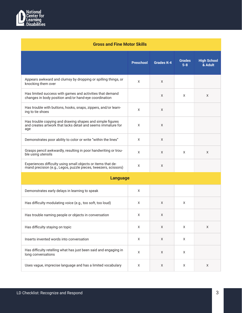

| <b>Gross and Fine Motor Skills</b>                                                                                               |                  |                   |                          |                               |  |
|----------------------------------------------------------------------------------------------------------------------------------|------------------|-------------------|--------------------------|-------------------------------|--|
|                                                                                                                                  | <b>Preschool</b> | <b>Grades K-4</b> | <b>Grades</b><br>$5 - 8$ | <b>High School</b><br>& Adult |  |
| Appears awkward and clumsy by dropping or spilling things, or<br>knocking them over                                              | X                | X                 |                          |                               |  |
| Has limited success with games and activities that demand<br>changes in body position and/or hand-eye coordination               |                  | X                 | X                        | X                             |  |
| Has trouble with buttons, hooks, snaps, zippers, and/or learn-<br>ing to tie shoes                                               | X                | X                 |                          |                               |  |
| Has trouble copying and drawing shapes and simple figures<br>and creates artwork that lacks detail and seems immature for<br>age | X                | $\times$          |                          |                               |  |
| Demonstrates poor ability to color or write "within the lines"                                                                   | X                | X                 |                          |                               |  |
| Grasps pencil awkwardly, resulting in poor handwriting or trou-<br>ble using utensils                                            | X                | X                 | X                        | X                             |  |
| Experiences difficulty using small objects or items that de-<br>mand precision (e.g., Legos, puzzle pieces, tweezers, scissors)  | X                | X                 |                          |                               |  |
| <b>Language</b>                                                                                                                  |                  |                   |                          |                               |  |
| Demonstrates early delays in learning to speak                                                                                   | X                |                   |                          |                               |  |
| Has difficulty modulating voice (e.g., too soft, too loud)                                                                       | X                | X                 | X                        |                               |  |
| Has trouble naming people or objects in conversation                                                                             | X                | Χ                 |                          |                               |  |
| Has difficulty staying on topic                                                                                                  | $\mathsf X$      | $\mathsf X$       | $\mathsf X$              | $\mathsf X$                   |  |
| Inserts invented words into conversation                                                                                         | $\mathsf X$      | $\mathsf X$       | X                        |                               |  |
| Has difficulty retelling what has just been said and engaging in<br>long conversations                                           | X                | X                 | X                        |                               |  |
| Uses vague, imprecise language and has a limited vocabulary                                                                      | $\mathsf X$      | X                 | $\mathsf X$              | X                             |  |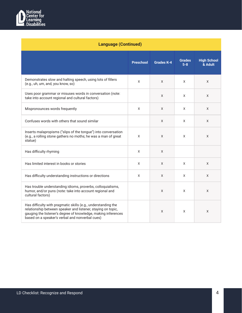

| <b>Language (Continued)</b>                                                                                                                                                                                                                       |                  |                   |                          |                               |
|---------------------------------------------------------------------------------------------------------------------------------------------------------------------------------------------------------------------------------------------------|------------------|-------------------|--------------------------|-------------------------------|
|                                                                                                                                                                                                                                                   | <b>Preschool</b> | <b>Grades K-4</b> | <b>Grades</b><br>$5 - 8$ | <b>High School</b><br>& Adult |
| Demonstrates slow and halting speech, using lots of fillers<br>(e.g., uh, um, and, you know, so)                                                                                                                                                  | X                | X                 | X                        | X                             |
| Uses poor grammar or misuses words in conversation (note:<br>take into account regional and cultural factors)                                                                                                                                     |                  | X                 | X                        | X                             |
| Mispronounces words frequently                                                                                                                                                                                                                    | X                | X                 | X                        | X                             |
| Confuses words with others that sound similar                                                                                                                                                                                                     |                  | X                 | X                        | X                             |
| Inserts malapropisms ("slips of the tongue") into conversation<br>(e.g., a rolling stone gathers no moths; he was a man of great<br>statue)                                                                                                       | X                | X                 | X                        | X                             |
| Has difficulty rhyming                                                                                                                                                                                                                            | X                | X                 |                          |                               |
| Has limited interest in books or stories                                                                                                                                                                                                          | X                | X                 | X                        | X                             |
| Has difficulty understanding instructions or directions                                                                                                                                                                                           | X                | X                 | X                        | X                             |
| Has trouble understanding idioms, proverbs, colloquialisms,<br>humor, and/or puns (note: take into account regional and<br>cultural factors)                                                                                                      |                  | X                 | X                        | X                             |
| Has difficulty with pragmatic skills (e.g., understanding the<br>relationship between speaker and listener, staying on topic,<br>gauging the listener's degree of knowledge, making inferences<br>based on a speaker's verbal and nonverbal cues) |                  | X                 | X                        | X                             |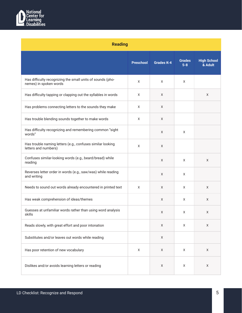

| <b>Reading</b>                                                                       |                  |                   |                          |                               |
|--------------------------------------------------------------------------------------|------------------|-------------------|--------------------------|-------------------------------|
|                                                                                      | <b>Preschool</b> | <b>Grades K-4</b> | <b>Grades</b><br>$5 - 8$ | <b>High School</b><br>& Adult |
| Has difficulty recognizing the small units of sounds (pho-<br>nemes) in spoken words | X                | X                 | X                        |                               |
| Has difficulty tapping or clapping out the syllables in words                        | X                | X                 |                          | X                             |
| Has problems connecting letters to the sounds they make                              | X                | X                 |                          |                               |
| Has trouble blending sounds together to make words                                   | X                | X                 |                          |                               |
| Has difficulty recognizing and remembering common "sight<br>words"                   |                  | X                 | X                        |                               |
| Has trouble naming letters (e.g., confuses similar looking<br>letters and numbers)   | X                | X                 |                          |                               |
| Confuses similar-looking words (e.g., beard/bread) while<br>reading                  |                  | X                 | X                        | X                             |
| Reverses letter order in words (e.g., saw/was) while reading<br>and writing          |                  | X                 | X                        |                               |
| Needs to sound out words already encountered in printed text                         | X                | X                 | X                        | X                             |
| Has weak comprehension of ideas/themes                                               |                  | X                 | X                        | X                             |
| Guesses at unfamiliar words rather than using word analysis<br>skills                |                  | X                 | Χ                        | Χ                             |
| Reads slowly, with great effort and poor intonation                                  |                  | $\mathsf X$       | X                        | $\mathsf X$                   |
| Substitutes and/or leaves out words while reading                                    |                  | $\mathsf X$       |                          |                               |
| Has poor retention of new vocabulary                                                 | $\mathsf X$      | $\mathsf X$       | X                        | $\mathsf X$                   |
| Dislikes and/or avoids learning letters or reading                                   |                  | $\mathsf X$       | $\mathsf X$              | $\mathsf X$                   |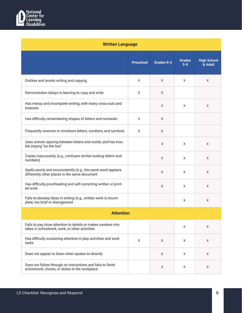

| <b>Written Language</b>                                                                                          |                  |                   |                          |                               |
|------------------------------------------------------------------------------------------------------------------|------------------|-------------------|--------------------------|-------------------------------|
|                                                                                                                  | <b>Preschool</b> | <b>Grades K-4</b> | <b>Grades</b><br>$5 - 8$ | <b>High School</b><br>& Adult |
| Dislikes and avoids writing and copying                                                                          | X                | X                 | X                        | X                             |
| Demonstrates delays in learning to copy and write                                                                | X                | X                 |                          |                               |
| Has messy and incomplete writing, with many cross-outs and<br>erasures                                           |                  | X                 | X                        | X                             |
| Has difficulty remembering shapes of letters and numerals                                                        | X                | X                 |                          |                               |
| Frequently reverses or misdraws letters, numbers, and symbols                                                    | X                | X                 |                          |                               |
| Uses uneven spacing between letters and words, and has trou-<br>ble staying "on the line"                        |                  | X                 | X                        | X                             |
| Copies inaccurately (e.g., confuses similar-looking letters and<br>numbers)                                      |                  | X                 | X                        | X                             |
| Spells poorly and inconsistently (e.g., the same word appears<br>differently other places in the same document   |                  | X                 | X                        | X                             |
| Has difficulty proofreading and self-correcting written or print-<br>ed work                                     |                  | X                 | X                        | X                             |
| Fails to develop ideas in writing (e.g., written work is incom-<br>plete, too brief or disorganized              |                  |                   | X                        | X                             |
| <b>Attention</b>                                                                                                 |                  |                   |                          |                               |
| Fails to pay close attention to details or makes careless mis-<br>takes in schoolwork, work, or other activities |                  |                   | X                        | X                             |
| Has difficulty sustaining attention in play activities and work<br>tasks                                         | X                | X                 | X                        | X                             |
| Does not appear to listen when spoken to directly                                                                |                  | X                 | X                        | X                             |
| Does not follow through on instructions and fails to finish<br>schoolwork, chores, or duties in the workplace    |                  | X                 | Χ                        | X                             |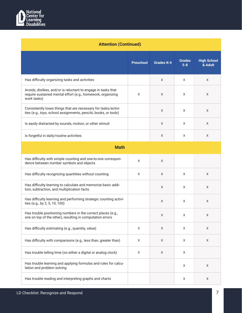

| <b>Attention (Continued)</b>                                                                                                                |                  |                   |                          |                               |
|---------------------------------------------------------------------------------------------------------------------------------------------|------------------|-------------------|--------------------------|-------------------------------|
|                                                                                                                                             | <b>Preschool</b> | <b>Grades K-4</b> | <b>Grades</b><br>$5 - 8$ | <b>High School</b><br>& Adult |
| Has difficulty organizing tasks and activities                                                                                              |                  | X                 | X                        | X                             |
| Avoids, dislikes, and/or is reluctant to engage in tasks that<br>require sustained mental effort (e.g., homework, organizing<br>work tasks) | X                | X                 | X                        | X                             |
| Consistently loses things that are necessary for tasks/activi-<br>ties (e.g., toys, school assignments, pencils, books, or tools)           |                  | X                 | X                        | X                             |
| Is easily distracted by sounds, motion, or other stimuli                                                                                    |                  | X                 | X                        | X                             |
| Is forgetful in daily/routine activities                                                                                                    |                  | Χ                 | Χ                        | Χ                             |
| <b>Math</b>                                                                                                                                 |                  |                   |                          |                               |
| Has difficulty with simple counting and one-to-one correspon-<br>dence between number symbols and objects                                   | X                | X                 |                          |                               |
| Has difficulty recognizing quantities without counting                                                                                      | X                | X                 | X                        | X                             |
| Has difficulty learning to calculate and memorize basic addi-<br>tion, subtraction, and multiplication facts                                |                  | X                 | X                        | X                             |
| Has difficulty learning and performing strategic counting activi-<br>ties (e.g., by 2, 5, 10, 100)                                          |                  | X                 | X                        | X                             |
| Has trouble positioning numbers in the correct places (e.g.,<br>one on top of the other), resulting in computation errors                   |                  | X                 | X                        | X                             |
| Has difficulty estimating (e.g., quantity, value)                                                                                           | X                | X                 | X                        | X                             |
| Has difficulty with comparisons (e.g., less than, greater than)                                                                             | X                | X                 | X                        | X                             |
| Has trouble telling time (on either a digital or analog clock)                                                                              | X                | X                 | X                        |                               |
| Has trouble learning and applying formulas and rules for calcu-<br>lation and problem solving                                               |                  |                   | X                        | X                             |
| Has trouble reading and interpreting graphs and charts                                                                                      |                  |                   | $\mathsf X$              | X                             |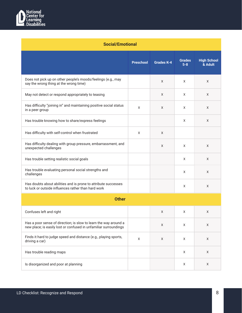

| <b>Social/Emotional</b>                                                                                                              |                  |                   |                          |                               |
|--------------------------------------------------------------------------------------------------------------------------------------|------------------|-------------------|--------------------------|-------------------------------|
|                                                                                                                                      | <b>Preschool</b> | <b>Grades K-4</b> | <b>Grades</b><br>$5 - 8$ | <b>High School</b><br>& Adult |
| Does not pick up on other people's moods/feelings (e.g., may<br>say the wrong thing at the wrong time)                               |                  | X                 | X                        | X                             |
| May not detect or respond appropriately to teasing                                                                                   |                  | X                 | X                        | X                             |
| Has difficulty "joining in" and maintaining positive social status<br>in a peer group                                                | X                | X                 | X                        | X                             |
| Has trouble knowing how to share/express feelings                                                                                    |                  |                   | X                        | X                             |
| Has difficulty with self-control when frustrated                                                                                     | X                | X                 |                          |                               |
| Has difficulty dealing with group pressure, embarrassment, and<br>unexpected challenges                                              |                  | X                 | X                        | X                             |
| Has trouble setting realistic social goals                                                                                           |                  |                   | X                        | X                             |
| Has trouble evaluating personal social strengths and<br>challenges                                                                   |                  |                   | X                        | X                             |
| Has doubts about abilities and is prone to attribute successes<br>to luck or outside influences rather than hard work                |                  |                   | X                        | X                             |
| <b>Other</b>                                                                                                                         |                  |                   |                          |                               |
| Confuses left and right                                                                                                              |                  | X                 | X                        | Χ                             |
| Has a poor sense of direction; is slow to learn the way around a<br>new place; is easily lost or confused in unfamiliar surroundings |                  | X                 | X                        | X                             |
| Finds it hard to judge speed and distance (e.g., playing sports,<br>driving a car)                                                   | X                | X                 | X                        | X                             |
| Has trouble reading maps                                                                                                             |                  |                   | X                        | X                             |
| Is disorganized and poor at planning                                                                                                 |                  |                   | X                        | X                             |